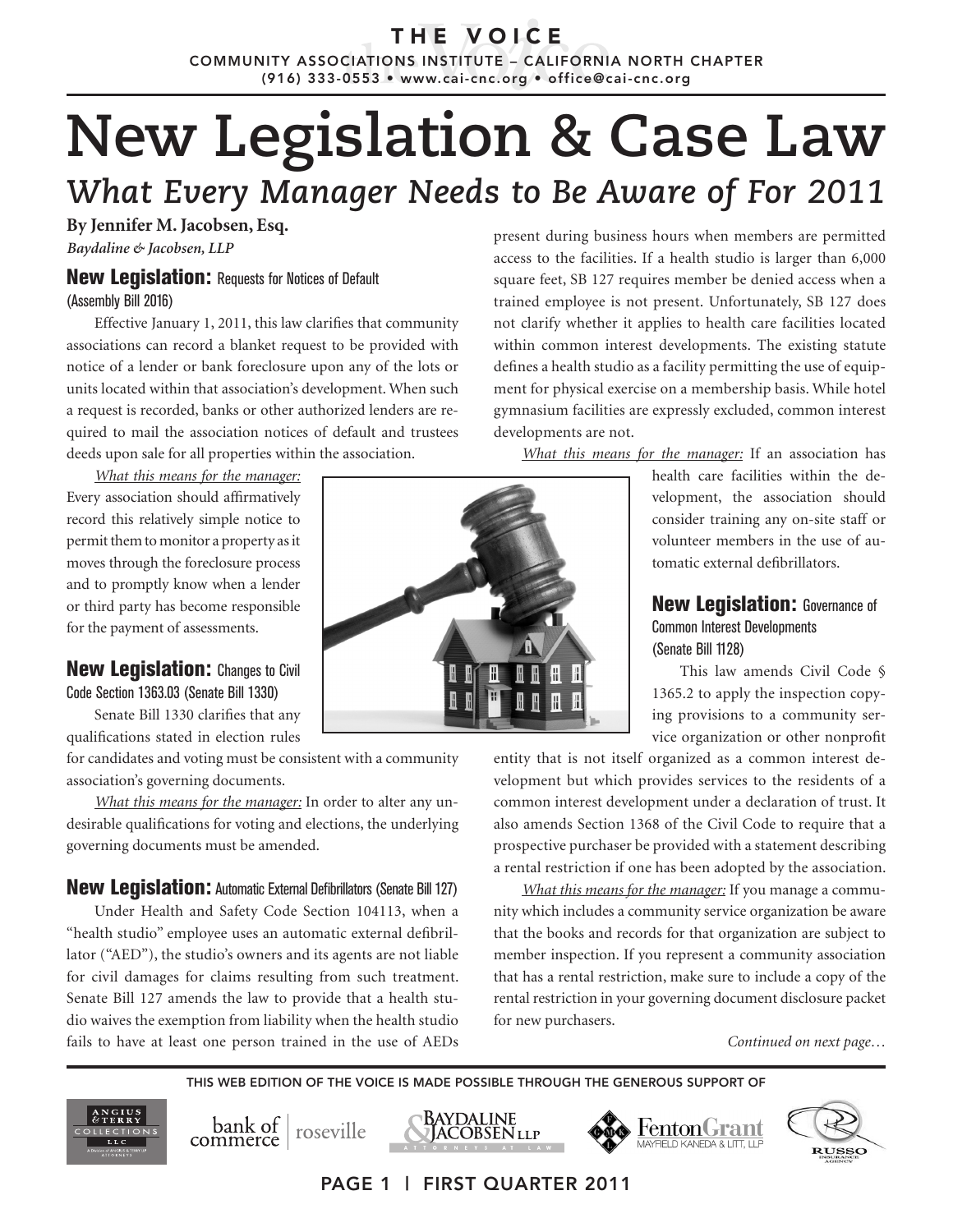T H E V O I C E COMMUNITY ASSOCIATIONS INSTITUTE – CALIFORNIA NORTH CHAPTER (916) 333-0553 • www.cai-cnc.org • office@cai-cnc.org

# **New Legislation & Case Law** *What Every Manager Needs to Be Aware of For 2011*

**By Jennifer M. Jacobsen, Esq.** *Baydaline & Jacobsen, LLP*

## **New Legislation: Requests for Notices of Default**

(Assembly Bill 2016)

Effective January 1, 2011, this law clarifies that community associations can record a blanket request to be provided with notice of a lender or bank foreclosure upon any of the lots or units located within that association's development. When such a request is recorded, banks or other authorized lenders are required to mail the association notices of default and trustees deeds upon sale for all properties within the association.

*What this means for the manager:* Every association should affirmatively record this relatively simple notice to permit them to monitor a property as it moves through the foreclosure process and to promptly know when a lender or third party has become responsible for the payment of assessments.

## **New Legislation:** Changes to Civil

Code Section 1363.03 (Senate Bill 1330)

Senate Bill 1330 clarifies that any qualifications stated in election rules

for candidates and voting must be consistent with a community association's governing documents.

*What this means for the manager:* In order to alter any undesirable qualifications for voting and elections, the underlying governing documents must be amended.

## **New Legislation:** Automatic External Defibrillators (Senate Bill 127)

Under Health and Safety Code Section 104113, when a "health studio" employee uses an automatic external defibrillator ("AED"), the studio's owners and its agents are not liable for civil damages for claims resulting from such treatment. Senate Bill 127 amends the law to provide that a health studio waives the exemption from liability when the health studio fails to have at least one person trained in the use of AEDs

bank of roseville



present during business hours when members are permitted access to the facilities. If a health studio is larger than 6,000 square feet, SB 127 requires member be denied access when a trained employee is not present. Unfortunately, SB 127 does not clarify whether it applies to health care facilities located within common interest developments. The existing statute defines a health studio as a facility permitting the use of equipment for physical exercise on a membership basis. While hotel gymnasium facilities are expressly excluded, common interest developments are not.

*What this means for the manager:* If an association has

health care facilities within the development, the association should consider training any on-site staff or volunteer members in the use of automatic external defibrillators.

## **New Legislation: Governance of** Common Interest Developments (Senate Bill 1128)

This law amends Civil Code § 1365.2 to apply the inspection copying provisions to a community service organization or other nonprofit

entity that is not itself organized as a common interest development but which provides services to the residents of a common interest development under a declaration of trust. It also amends Section 1368 of the Civil Code to require that a prospective purchaser be provided with a statement describing a rental restriction if one has been adopted by the association.

*What this means for the manager:* If you manage a community which includes a community service organization be aware that the books and records for that organization are subject to member inspection. If you represent a community association that has a rental restriction, make sure to include a copy of the rental restriction in your governing document disclosure packet for new purchasers.

FentonGrant

*Continued on next page…*

**RUSSO** 

THIS WEB EDITION OF THE VOICE IS MADE POSSIBLE THROUGH THE GENEROUS SUPPORT OF

BAYDALINE

**ACOBSEN** llp

PAGE 1 | FIRST QUARTER 2011

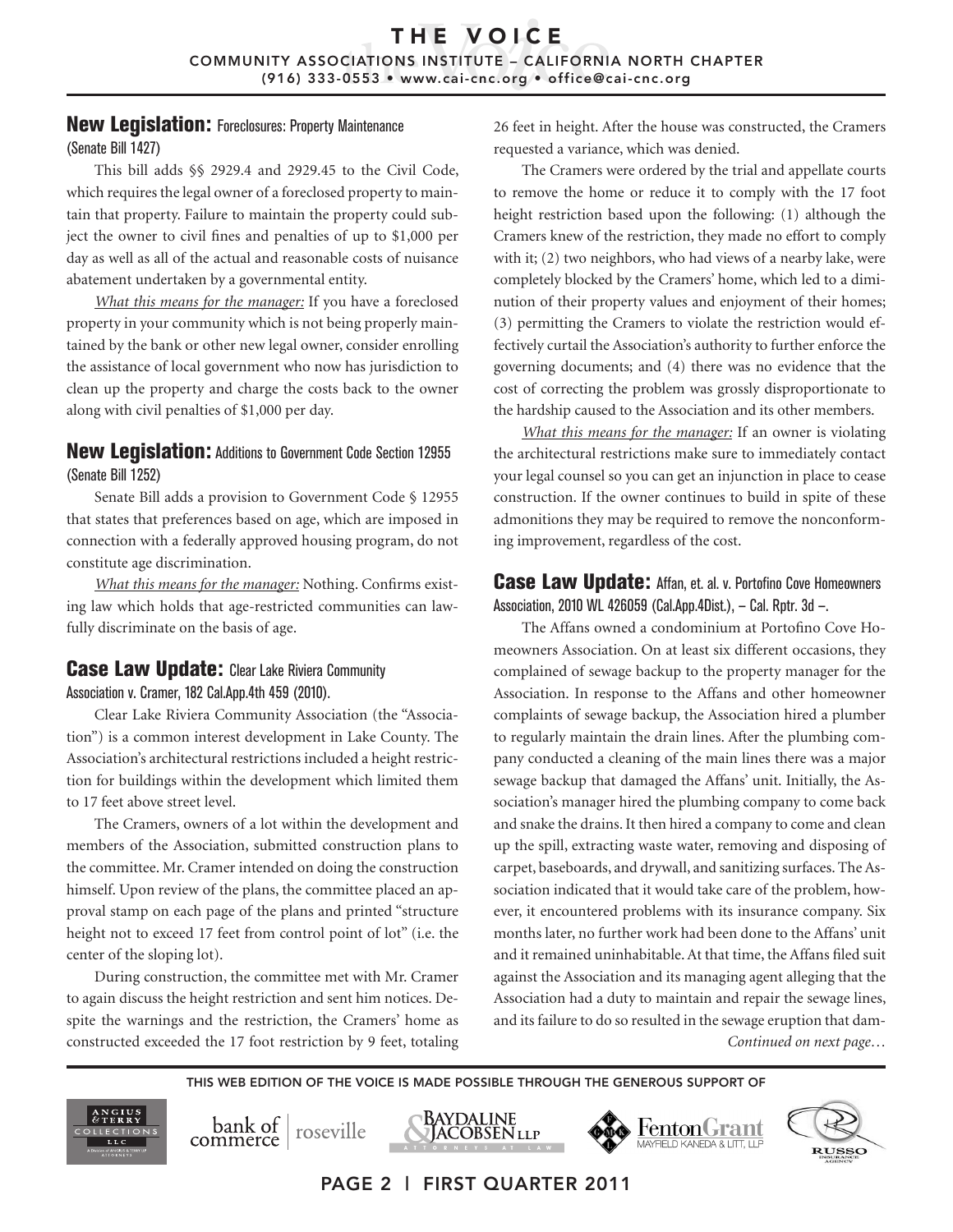## New Legislation: Foreclosures: Property Maintenance

#### (Senate Bill 1427)

This bill adds §§ 2929.4 and 2929.45 to the Civil Code, which requires the legal owner of a foreclosed property to maintain that property. Failure to maintain the property could subject the owner to civil fines and penalties of up to \$1,000 per day as well as all of the actual and reasonable costs of nuisance abatement undertaken by a governmental entity.

*What this means for the manager:* If you have a foreclosed property in your community which is not being properly maintained by the bank or other new legal owner, consider enrolling the assistance of local government who now has jurisdiction to clean up the property and charge the costs back to the owner along with civil penalties of \$1,000 per day.

## **New Legislation:** Additions to Government Code Section 12955 (Senate Bill 1252)

Senate Bill adds a provision to Government Code § 12955 that states that preferences based on age, which are imposed in connection with a federally approved housing program, do not constitute age discrimination.

*What this means for the manager:* Nothing. Confirms existing law which holds that age-restricted communities can lawfully discriminate on the basis of age.

## **Case Law Update:** Clear Lake Riviera Community

Association v. Cramer, 182 Cal.App.4th 459 (2010).

Clear Lake Riviera Community Association (the "Association") is a common interest development in Lake County. The Association's architectural restrictions included a height restriction for buildings within the development which limited them to 17 feet above street level.

The Cramers, owners of a lot within the development and members of the Association, submitted construction plans to the committee. Mr. Cramer intended on doing the construction himself. Upon review of the plans, the committee placed an approval stamp on each page of the plans and printed "structure height not to exceed 17 feet from control point of lot" (i.e. the center of the sloping lot).

During construction, the committee met with Mr. Cramer to again discuss the height restriction and sent him notices. Despite the warnings and the restriction, the Cramers' home as constructed exceeded the 17 foot restriction by 9 feet, totaling 26 feet in height. After the house was constructed, the Cramers requested a variance, which was denied.

The Cramers were ordered by the trial and appellate courts to remove the home or reduce it to comply with the 17 foot height restriction based upon the following: (1) although the Cramers knew of the restriction, they made no effort to comply with it; (2) two neighbors, who had views of a nearby lake, were completely blocked by the Cramers' home, which led to a diminution of their property values and enjoyment of their homes; (3) permitting the Cramers to violate the restriction would effectively curtail the Association's authority to further enforce the governing documents; and (4) there was no evidence that the cost of correcting the problem was grossly disproportionate to the hardship caused to the Association and its other members.

*What this means for the manager:* If an owner is violating the architectural restrictions make sure to immediately contact your legal counsel so you can get an injunction in place to cease construction. If the owner continues to build in spite of these admonitions they may be required to remove the nonconforming improvement, regardless of the cost.

## Case Law Update: Affan, et. al. v. Portofino Cove Homeowners Association, 2010 WL 426059 (Cal.App.4Dist.), — Cal. Rptr. 3d —.

The Affans owned a condominium at Portofino Cove Homeowners Association. On at least six different occasions, they complained of sewage backup to the property manager for the Association. In response to the Affans and other homeowner complaints of sewage backup, the Association hired a plumber to regularly maintain the drain lines. After the plumbing company conducted a cleaning of the main lines there was a major sewage backup that damaged the Affans' unit. Initially, the Association's manager hired the plumbing company to come back and snake the drains. It then hired a company to come and clean up the spill, extracting waste water, removing and disposing of carpet, baseboards, and drywall, and sanitizing surfaces. The Association indicated that it would take care of the problem, however, it encountered problems with its insurance company. Six months later, no further work had been done to the Affans' unit and it remained uninhabitable. At that time, the Affans filed suit against the Association and its managing agent alleging that the Association had a duty to maintain and repair the sewage lines, and its failure to do so resulted in the sewage eruption that dam-*Continued on next page…*

FentonGrant

**RUSSO** 

THIS WEB EDITION OF THE VOICE IS MADE POSSIBLE THROUGH THE GENEROUS SUPPORT OF

Baydaline





|ACOBSEN llp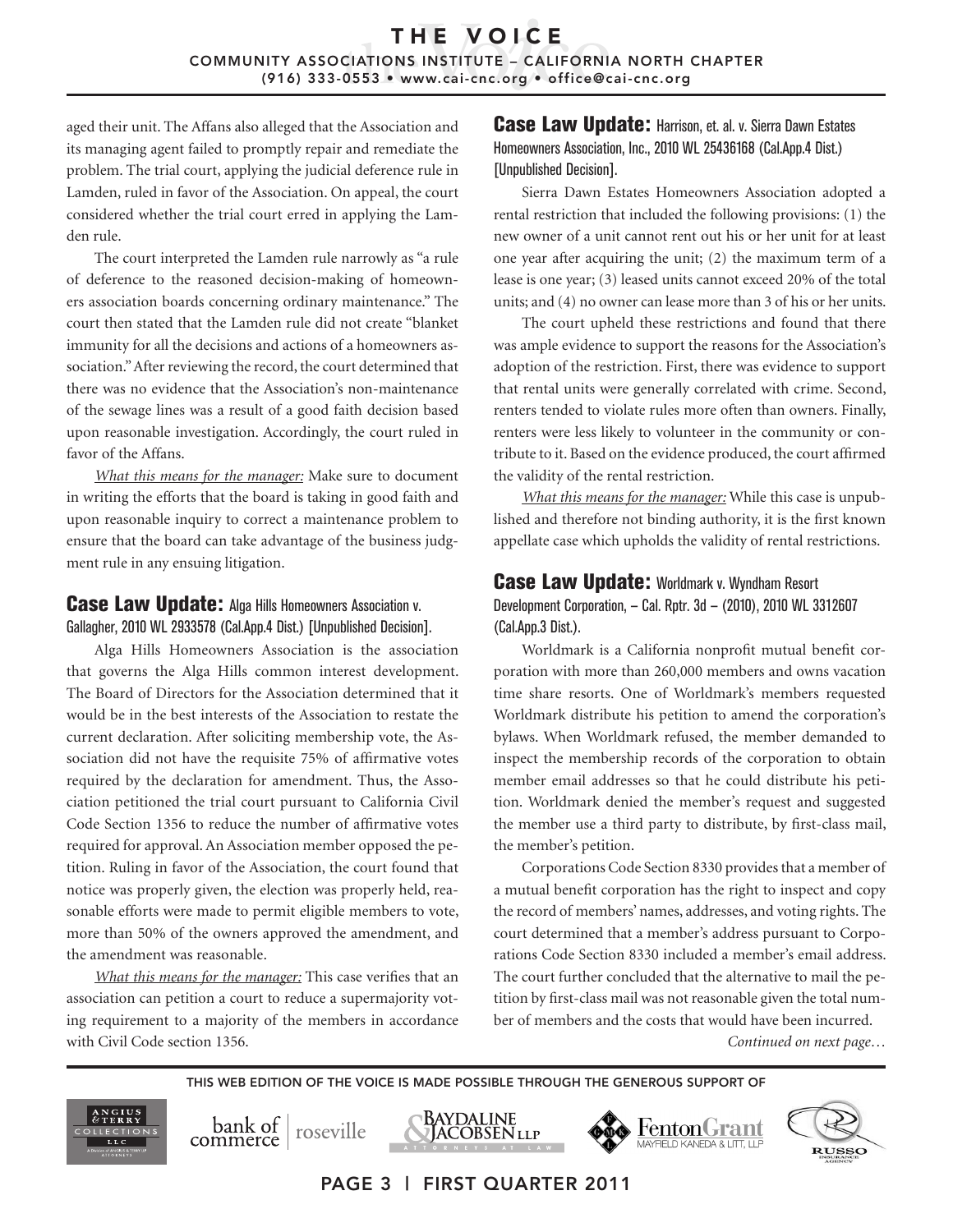## THE VOICE COMMUNITY ASSOCIATIONS INSTITUTE – CALIFORNIA NORTH CHAPTER (916) 333-0553 • www.cai-cnc.org • office@cai-cnc.org

aged their unit. The Affans also alleged that the Association and its managing agent failed to promptly repair and remediate the problem. The trial court, applying the judicial deference rule in Lamden, ruled in favor of the Association. On appeal, the court considered whether the trial court erred in applying the Lamden rule.

The court interpreted the Lamden rule narrowly as "a rule of deference to the reasoned decision-making of homeowners association boards concerning ordinary maintenance." The court then stated that the Lamden rule did not create "blanket immunity for all the decisions and actions of a homeowners association." After reviewing the record, the court determined that there was no evidence that the Association's non-maintenance of the sewage lines was a result of a good faith decision based upon reasonable investigation. Accordingly, the court ruled in favor of the Affans.

*What this means for the manager:* Make sure to document in writing the efforts that the board is taking in good faith and upon reasonable inquiry to correct a maintenance problem to ensure that the board can take advantage of the business judgment rule in any ensuing litigation.

## **Case Law Update:** Alga Hills Homeowners Association v. Gallagher, 2010 WL 2933578 (Cal.App.4 Dist.) [Unpublished Decision].

Alga Hills Homeowners Association is the association that governs the Alga Hills common interest development. The Board of Directors for the Association determined that it would be in the best interests of the Association to restate the current declaration. After soliciting membership vote, the Association did not have the requisite 75% of affirmative votes required by the declaration for amendment. Thus, the Association petitioned the trial court pursuant to California Civil Code Section 1356 to reduce the number of affirmative votes required for approval. An Association member opposed the petition. Ruling in favor of the Association, the court found that notice was properly given, the election was properly held, reasonable efforts were made to permit eligible members to vote, more than 50% of the owners approved the amendment, and the amendment was reasonable.

*What this means for the manager:* This case verifies that an association can petition a court to reduce a supermajority voting requirement to a majority of the members in accordance with Civil Code section 1356.

## Case Law Update: Harrison, et. al. v. Sierra Dawn Estates Homeowners Association, Inc., 2010 WL 25436168 (Cal.App.4 Dist.) [Unpublished Decision].

Sierra Dawn Estates Homeowners Association adopted a rental restriction that included the following provisions: (1) the new owner of a unit cannot rent out his or her unit for at least one year after acquiring the unit; (2) the maximum term of a lease is one year; (3) leased units cannot exceed 20% of the total units; and (4) no owner can lease more than 3 of his or her units.

The court upheld these restrictions and found that there was ample evidence to support the reasons for the Association's adoption of the restriction. First, there was evidence to support that rental units were generally correlated with crime. Second, renters tended to violate rules more often than owners. Finally, renters were less likely to volunteer in the community or contribute to it. Based on the evidence produced, the court affirmed the validity of the rental restriction.

*What this means for the manager:* While this case is unpublished and therefore not binding authority, it is the first known appellate case which upholds the validity of rental restrictions.

## Case Law Update: Worldmark v. Wyndham Resort Development Corporation, — Cal. Rptr. 3d — (2010), 2010 WL 3312607 (Cal.App.3 Dist.).

Worldmark is a California nonprofit mutual benefit corporation with more than 260,000 members and owns vacation time share resorts. One of Worldmark's members requested Worldmark distribute his petition to amend the corporation's bylaws. When Worldmark refused, the member demanded to inspect the membership records of the corporation to obtain member email addresses so that he could distribute his petition. Worldmark denied the member's request and suggested the member use a third party to distribute, by first-class mail, the member's petition.

Corporations Code Section 8330 provides that a member of a mutual benefit corporation has the right to inspect and copy the record of members' names, addresses, and voting rights. The court determined that a member's address pursuant to Corporations Code Section 8330 included a member's email address. The court further concluded that the alternative to mail the petition by first-class mail was not reasonable given the total number of members and the costs that would have been incurred.

 $\blacktriangleright$  FentonGrant

*Continued on next page…*

**RUSSO** 

THIS WEB EDITION OF THE VOICE IS MADE POSSIBLE THROUGH THE GENEROUS SUPPORT OF

PAGE 3 | FIRST QUARTER 2011